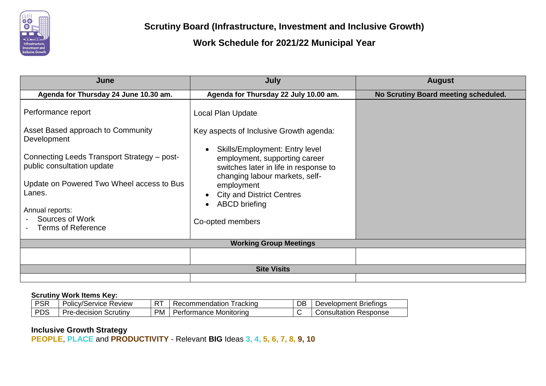

| June                                                                      | July                                                                                                                                              | <b>August</b>                        |  |  |  |  |  |
|---------------------------------------------------------------------------|---------------------------------------------------------------------------------------------------------------------------------------------------|--------------------------------------|--|--|--|--|--|
| Agenda for Thursday 24 June 10.30 am.                                     | Agenda for Thursday 22 July 10.00 am.                                                                                                             | No Scrutiny Board meeting scheduled. |  |  |  |  |  |
| Performance report                                                        | Local Plan Update                                                                                                                                 |                                      |  |  |  |  |  |
| Asset Based approach to Community<br>Development                          | Key aspects of Inclusive Growth agenda:                                                                                                           |                                      |  |  |  |  |  |
| Connecting Leeds Transport Strategy - post-<br>public consultation update | <b>Skills/Employment: Entry level</b><br>employment, supporting career<br>switches later in life in response to<br>changing labour markets, self- |                                      |  |  |  |  |  |
| Update on Powered Two Wheel access to Bus<br>Lanes.                       | employment<br><b>City and District Centres</b>                                                                                                    |                                      |  |  |  |  |  |
| Annual reports:                                                           | <b>ABCD</b> briefing                                                                                                                              |                                      |  |  |  |  |  |
| Sources of Work<br><b>Terms of Reference</b>                              | Co-opted members                                                                                                                                  |                                      |  |  |  |  |  |
| <b>Working Group Meetings</b>                                             |                                                                                                                                                   |                                      |  |  |  |  |  |
|                                                                           |                                                                                                                                                   |                                      |  |  |  |  |  |
|                                                                           | <b>Site Visits</b>                                                                                                                                |                                      |  |  |  |  |  |
|                                                                           |                                                                                                                                                   |                                      |  |  |  |  |  |

### **Scrutiny Work Items Key:**

| <b>PSR</b> | <b>Policy/Service Review</b> | DТ | rackind<br>commendation | DB | <b>Briefings</b><br>Jevelopment |
|------------|------------------------------|----|-------------------------|----|---------------------------------|
| <b>PDS</b> | Pre-decision<br>Scrutiny     | PM | Performance Monitoring  |    | Response<br>Consultation '      |

### **Inclusive Growth Strategy**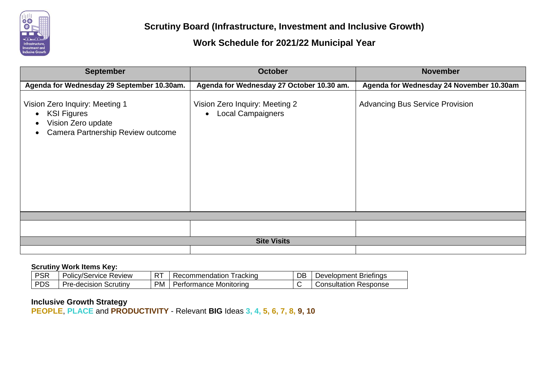

| <b>September</b>                                                                                                                                       | <b>October</b>                                                          | <b>November</b>                          |
|--------------------------------------------------------------------------------------------------------------------------------------------------------|-------------------------------------------------------------------------|------------------------------------------|
| Agenda for Wednesday 29 September 10.30am.                                                                                                             | Agenda for Wednesday 27 October 10.30 am.                               | Agenda for Wednesday 24 November 10.30am |
| Vision Zero Inquiry: Meeting 1<br><b>KSI Figures</b><br>$\bullet$<br>Vision Zero update<br>$\bullet$<br>Camera Partnership Review outcome<br>$\bullet$ | Vision Zero Inquiry: Meeting 2<br><b>Local Campaigners</b><br>$\bullet$ | <b>Advancing Bus Service Provision</b>   |
|                                                                                                                                                        |                                                                         |                                          |
|                                                                                                                                                        |                                                                         |                                          |
|                                                                                                                                                        | <b>Site Visits</b>                                                      |                                          |
|                                                                                                                                                        |                                                                         |                                          |

#### **Scrutiny Work Items Key:**

| <b>PSR</b> | Policy/Service Review    | -- | i rackınd<br>Recommendation | DB | <b>Briefings</b><br>Development ' |
|------------|--------------------------|----|-----------------------------|----|-----------------------------------|
| <b>PDS</b> | Scrutiny<br>Pre-decision | PM | Performance Monitoring      |    | Response<br>Consultation          |

#### **Inclusive Growth Strategy**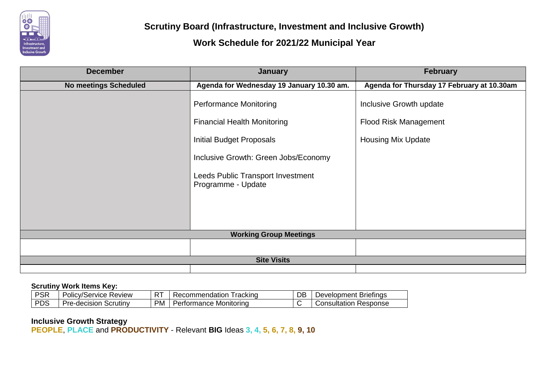

| <b>December</b>              | <b>January</b>                                          | <b>February</b>                            |  |  |
|------------------------------|---------------------------------------------------------|--------------------------------------------|--|--|
| <b>No meetings Scheduled</b> | Agenda for Wednesday 19 January 10.30 am.               | Agenda for Thursday 17 February at 10.30am |  |  |
|                              | <b>Performance Monitoring</b>                           | Inclusive Growth update                    |  |  |
|                              | <b>Financial Health Monitoring</b>                      | <b>Flood Risk Management</b>               |  |  |
|                              | <b>Initial Budget Proposals</b>                         | <b>Housing Mix Update</b>                  |  |  |
|                              | Inclusive Growth: Green Jobs/Economy                    |                                            |  |  |
|                              | Leeds Public Transport Investment<br>Programme - Update |                                            |  |  |
|                              |                                                         |                                            |  |  |
|                              |                                                         |                                            |  |  |
|                              | <b>Working Group Meetings</b>                           |                                            |  |  |
|                              |                                                         |                                            |  |  |
|                              | <b>Site Visits</b>                                      |                                            |  |  |
|                              |                                                         |                                            |  |  |

#### **Scrutiny Work Items Key:**

| <b>PSR</b> | Review<br>olicv/Service | $-$ | racking<br>.<br>COI<br>nengation<br>$\mathcal{L}$ $\mathsf{P}$ | DB | <b>Briefings</b><br>וment<br>Jevelopr |
|------------|-------------------------|-----|----------------------------------------------------------------|----|---------------------------------------|
| <b>PDS</b> | Scrutinv<br>re-decision | ⊃M  | : Monitorina<br>ormance<br>OH                                  |    | Response<br><i>C</i> onsultation      |

### **Inclusive Growth Strategy**